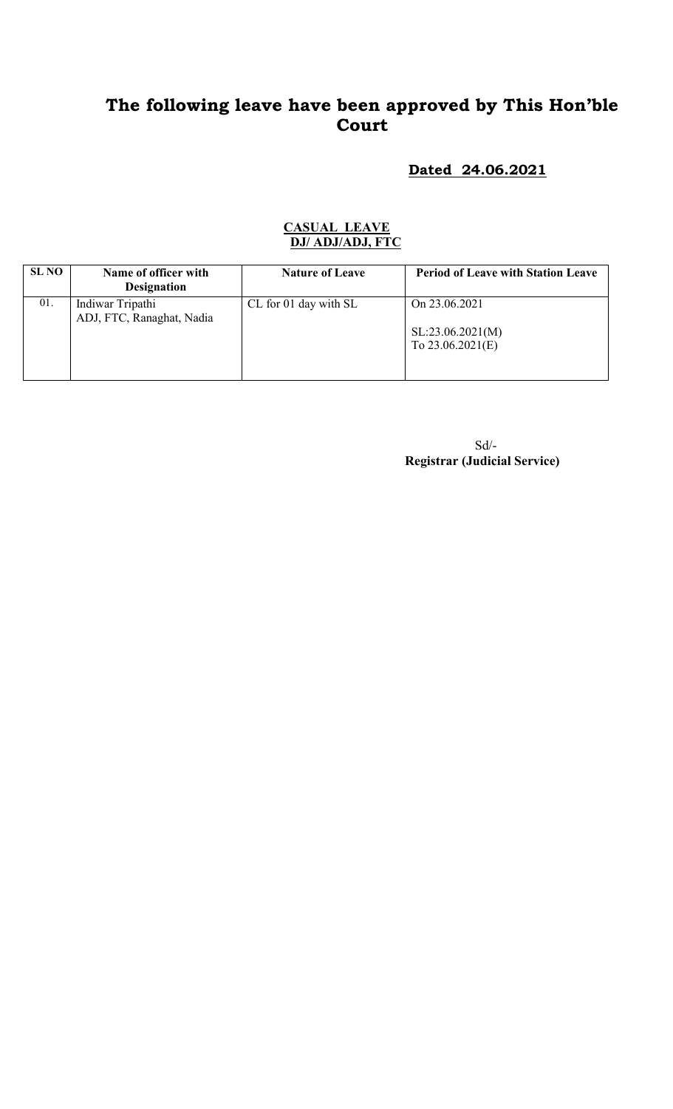# The following leave have been approved by This Hon'ble Court

### Dated 24.06.2021

#### CASUAL LEAVE DJ/ ADJ/ADJ, FTC

| SL NO | Name of officer with<br><b>Designation</b>    | <b>Nature of Leave</b> | <b>Period of Leave with Station Leave</b>               |
|-------|-----------------------------------------------|------------------------|---------------------------------------------------------|
| 01.   | Indiwar Tripathi<br>ADJ, FTC, Ranaghat, Nadia | CL for 01 day with SL  | On 23.06.2021<br>SL:23.06.2021(M)<br>To $23.06.2021(E)$ |

 Sd/- Registrar (Judicial Service)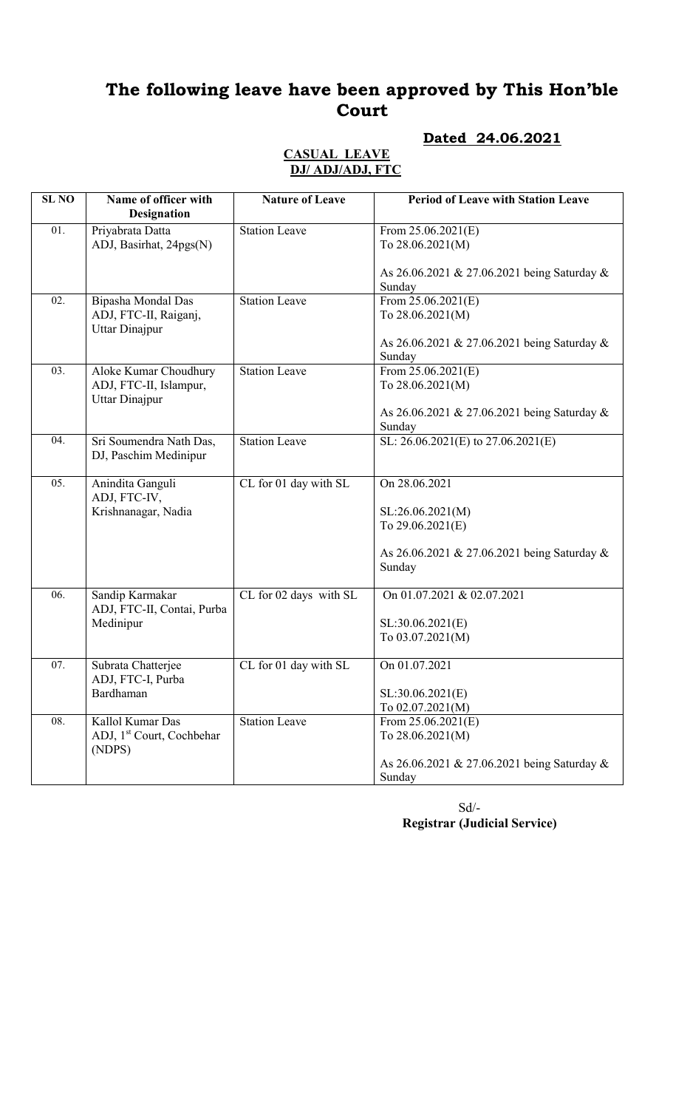# The following leave have been approved by This Hon'ble Court

# Dated 24.06.2021

#### CASUAL LEAVE DJ/ ADJ/ADJ, FTC

| <b>SL NO</b> | Name of officer with<br><b>Designation</b>                           | <b>Nature of Leave</b> | <b>Period of Leave with Station Leave</b>                                               |
|--------------|----------------------------------------------------------------------|------------------------|-----------------------------------------------------------------------------------------|
| 01.          | Priyabrata Datta<br>ADJ, Basirhat, 24pgs(N)                          | <b>Station Leave</b>   | From $25.06.2021(E)$<br>To 28.06.2021(M)                                                |
|              |                                                                      |                        | As 26.06.2021 & 27.06.2021 being Saturday &<br>Sunday                                   |
| 02.          | Bipasha Mondal Das<br>ADJ, FTC-II, Raiganj,<br><b>Uttar Dinajpur</b> | Station Leave          | From $25.06.2021(E)$<br>To 28.06.2021(M)<br>As 26.06.2021 & 27.06.2021 being Saturday & |
|              |                                                                      |                        | Sunday                                                                                  |
| 03.          | Aloke Kumar Choudhury<br>ADJ, FTC-II, Islampur,<br>Uttar Dinajpur    | <b>Station Leave</b>   | From $25.06.2021(E)$<br>To 28.06.2021(M)                                                |
|              |                                                                      |                        | As 26.06.2021 & 27.06.2021 being Saturday &<br>Sunday                                   |
| 04.          | Sri Soumendra Nath Das,<br>DJ, Paschim Medinipur                     | <b>Station Leave</b>   | SL: 26.06.2021(E) to 27.06.2021(E)                                                      |
| 05.          | Anindita Ganguli<br>ADJ, FTC-IV,                                     | CL for 01 day with SL  | On 28.06.2021                                                                           |
|              | Krishnanagar, Nadia                                                  |                        | SL:26.06.2021(M)<br>To 29.06.2021(E)                                                    |
|              |                                                                      |                        | As 26.06.2021 & 27.06.2021 being Saturday &<br>Sunday                                   |
| 06.          | Sandip Karmakar<br>ADJ, FTC-II, Contai, Purba                        | CL for 02 days with SL | On 01.07.2021 & 02.07.2021                                                              |
|              | Medinipur                                                            |                        | SL:30.06.2021(E)<br>To 03.07.2021(M)                                                    |
| 07.          | Subrata Chatterjee<br>ADJ, FTC-I, Purba                              | CL for 01 day with SL  | On 01.07.2021                                                                           |
|              | Bardhaman                                                            |                        | SL:30.06.2021(E)<br>To 02.07.2021(M)                                                    |
| 08.          | Kallol Kumar Das<br>ADJ, 1 <sup>st</sup> Court, Cochbehar<br>(NDPS)  | <b>Station Leave</b>   | From $25.06.2021(E)$<br>To 28.06.2021(M)                                                |
|              |                                                                      |                        | As 26.06.2021 & 27.06.2021 being Saturday &<br>Sunday                                   |

 Sd/- Registrar (Judicial Service)